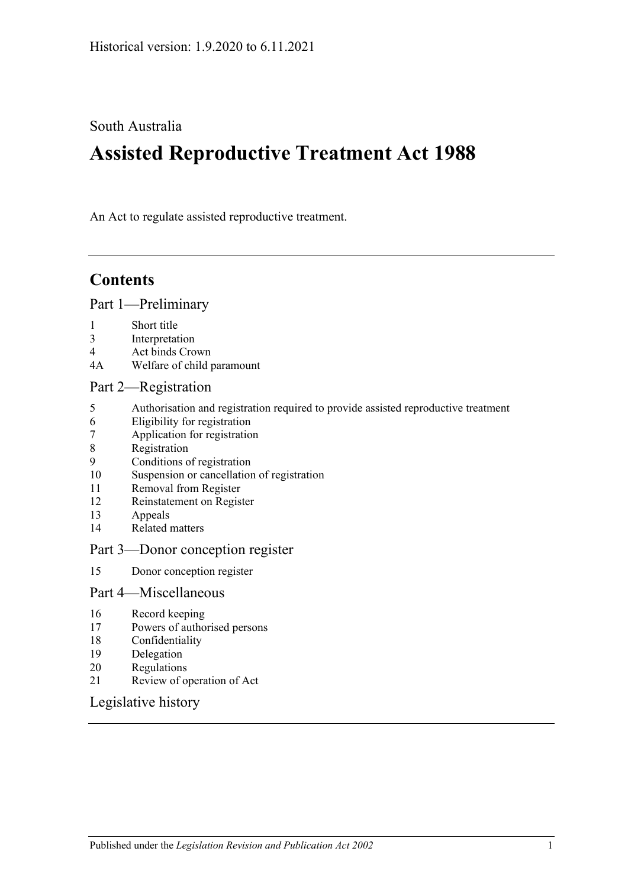#### South Australia

# **Assisted Reproductive Treatment Act 1988**

An Act to regulate assisted reproductive treatment.

## **Contents**

#### [Part 1—Preliminary](#page-1-0)

- 1 [Short title](#page-1-1)
- 3 [Interpretation](#page-1-2)
- 4 [Act binds Crown](#page-1-3)
- 4A [Welfare of child paramount](#page-1-4)

#### [Part 2—Registration](#page-2-0)

- 5 [Authorisation and registration required to provide assisted reproductive treatment](#page-2-1)
- 6 [Eligibility for registration](#page-2-2)<br>7 Application for registration
- [Application for registration](#page-2-3)
- 8 [Registration](#page-3-0)
- 9 [Conditions of registration](#page-3-1)
- 10 [Suspension or cancellation of registration](#page-4-0)
- 11 [Removal from Register](#page-5-0)<br>12 Reinstatement on Regis
- [Reinstatement on Register](#page-5-1)
- 13 [Appeals](#page-5-2)
- 14 [Related matters](#page-6-0)

#### [Part 3—Donor conception register](#page-6-1)

15 [Donor conception register](#page-6-2)

#### [Part 4—Miscellaneous](#page-7-0)

- 16 [Record keeping](#page-7-1)
- 17 [Powers of authorised persons](#page-7-2)
- 18 [Confidentiality](#page-8-0)
- 19 [Delegation](#page-8-1)
- 20 [Regulations](#page-9-0)
- 21 [Review of operation of Act](#page-9-1)

#### [Legislative history](#page-10-0)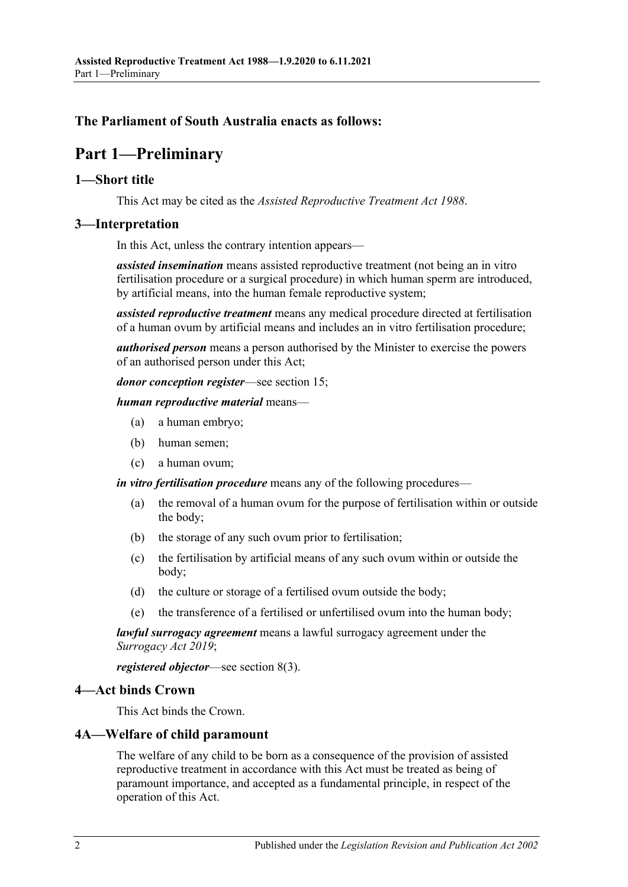#### <span id="page-1-0"></span>**The Parliament of South Australia enacts as follows:**

## **Part 1—Preliminary**

#### <span id="page-1-1"></span>**1—Short title**

This Act may be cited as the *Assisted Reproductive Treatment Act 1988*.

#### <span id="page-1-2"></span>**3—Interpretation**

In this Act, unless the contrary intention appears—

*assisted insemination* means assisted reproductive treatment (not being an in vitro fertilisation procedure or a surgical procedure) in which human sperm are introduced, by artificial means, into the human female reproductive system;

*assisted reproductive treatment* means any medical procedure directed at fertilisation of a human ovum by artificial means and includes an in vitro fertilisation procedure;

*authorised person* means a person authorised by the Minister to exercise the powers of an authorised person under this Act;

*donor conception register*—see [section](#page-6-2) 15;

#### *human reproductive material* means—

- (a) a human embryo;
- (b) human semen;
- (c) a human ovum;

*in vitro fertilisation procedure* means any of the following procedures—

- (a) the removal of a human ovum for the purpose of fertilisation within or outside the body;
- (b) the storage of any such ovum prior to fertilisation;
- (c) the fertilisation by artificial means of any such ovum within or outside the body;
- (d) the culture or storage of a fertilised ovum outside the body;
- (e) the transference of a fertilised or unfertilised ovum into the human body;

*lawful surrogacy agreement* means a lawful surrogacy agreement under the *[Surrogacy Act](http://www.legislation.sa.gov.au/index.aspx?action=legref&type=act&legtitle=Surrogacy%20Act%202019) 2019*;

*registered objector*—see [section](#page-3-2) 8(3).

#### <span id="page-1-3"></span>**4—Act binds Crown**

This Act binds the Crown.

#### <span id="page-1-4"></span>**4A—Welfare of child paramount**

The welfare of any child to be born as a consequence of the provision of assisted reproductive treatment in accordance with this Act must be treated as being of paramount importance, and accepted as a fundamental principle, in respect of the operation of this Act.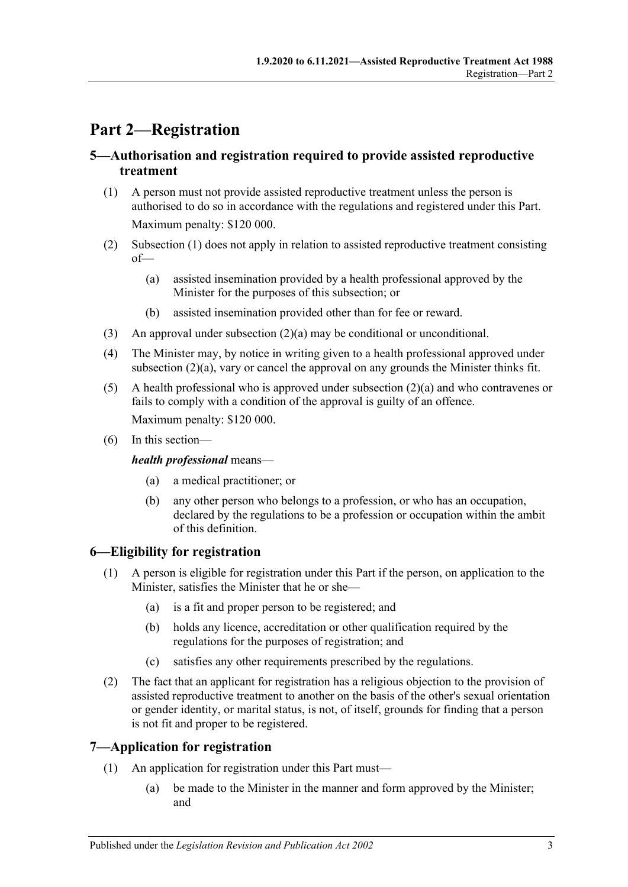## <span id="page-2-0"></span>**Part 2—Registration**

#### <span id="page-2-1"></span>**5—Authorisation and registration required to provide assisted reproductive treatment**

- <span id="page-2-4"></span>(1) A person must not provide assisted reproductive treatment unless the person is authorised to do so in accordance with the regulations and registered under this Part. Maximum penalty: \$120 000.
- <span id="page-2-6"></span><span id="page-2-5"></span>(2) [Subsection](#page-2-4) (1) does not apply in relation to assisted reproductive treatment consisting of—
	- (a) assisted insemination provided by a health professional approved by the Minister for the purposes of this subsection; or
	- (b) assisted insemination provided other than for fee or reward.
- (3) An approval under [subsection](#page-2-5) (2)(a) may be conditional or unconditional.
- <span id="page-2-7"></span>(4) The Minister may, by notice in writing given to a health professional approved under [subsection](#page-2-5)  $(2)(a)$ , vary or cancel the approval on any grounds the Minister thinks fit.
- (5) A health professional who is approved under [subsection](#page-2-5) (2)(a) and who contravenes or fails to comply with a condition of the approval is guilty of an offence. Maximum penalty: \$120 000.
- (6) In this section—

#### *health professional* means—

- (a) a medical practitioner; or
- (b) any other person who belongs to a profession, or who has an occupation, declared by the regulations to be a profession or occupation within the ambit of this definition.

#### <span id="page-2-2"></span>**6—Eligibility for registration**

- (1) A person is eligible for registration under this Part if the person, on application to the Minister, satisfies the Minister that he or she—
	- (a) is a fit and proper person to be registered; and
	- (b) holds any licence, accreditation or other qualification required by the regulations for the purposes of registration; and
	- (c) satisfies any other requirements prescribed by the regulations.
- (2) The fact that an applicant for registration has a religious objection to the provision of assisted reproductive treatment to another on the basis of the other's sexual orientation or gender identity, or marital status, is not, of itself, grounds for finding that a person is not fit and proper to be registered.

#### <span id="page-2-3"></span>**7—Application for registration**

- (1) An application for registration under this Part must—
	- (a) be made to the Minister in the manner and form approved by the Minister; and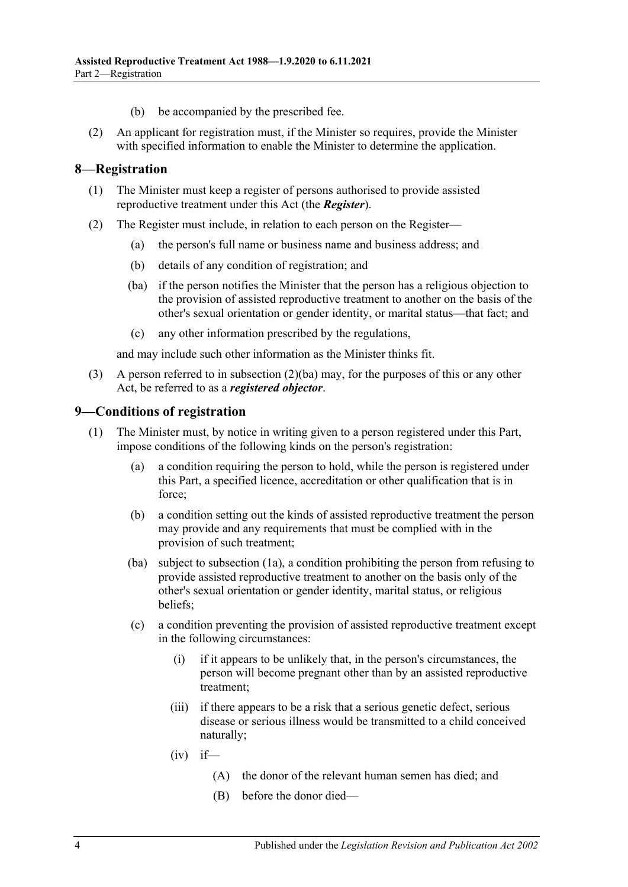- (b) be accompanied by the prescribed fee.
- (2) An applicant for registration must, if the Minister so requires, provide the Minister with specified information to enable the Minister to determine the application.

#### <span id="page-3-0"></span>**8—Registration**

- (1) The Minister must keep a register of persons authorised to provide assisted reproductive treatment under this Act (the *Register*).
- <span id="page-3-3"></span>(2) The Register must include, in relation to each person on the Register—
	- (a) the person's full name or business name and business address; and
	- (b) details of any condition of registration; and
	- (ba) if the person notifies the Minister that the person has a religious objection to the provision of assisted reproductive treatment to another on the basis of the other's sexual orientation or gender identity, or marital status—that fact; and
	- (c) any other information prescribed by the regulations,

and may include such other information as the Minister thinks fit.

<span id="page-3-2"></span>(3) A person referred to in [subsection](#page-3-3) (2)(ba) may, for the purposes of this or any other Act, be referred to as a *registered objector*.

#### <span id="page-3-1"></span>**9—Conditions of registration**

- <span id="page-3-4"></span>(1) The Minister must, by notice in writing given to a person registered under this Part, impose conditions of the following kinds on the person's registration:
	- (a) a condition requiring the person to hold, while the person is registered under this Part, a specified licence, accreditation or other qualification that is in force;
	- (b) a condition setting out the kinds of assisted reproductive treatment the person may provide and any requirements that must be complied with in the provision of such treatment;
	- (ba) subject to [subsection](#page-4-1) (1a), a condition prohibiting the person from refusing to provide assisted reproductive treatment to another on the basis only of the other's sexual orientation or gender identity, marital status, or religious beliefs;
	- (c) a condition preventing the provision of assisted reproductive treatment except in the following circumstances:
		- (i) if it appears to be unlikely that, in the person's circumstances, the person will become pregnant other than by an assisted reproductive treatment;
		- (iii) if there appears to be a risk that a serious genetic defect, serious disease or serious illness would be transmitted to a child conceived naturally;
		- $(iv)$  if—
			- (A) the donor of the relevant human semen has died; and
			- (B) before the donor died—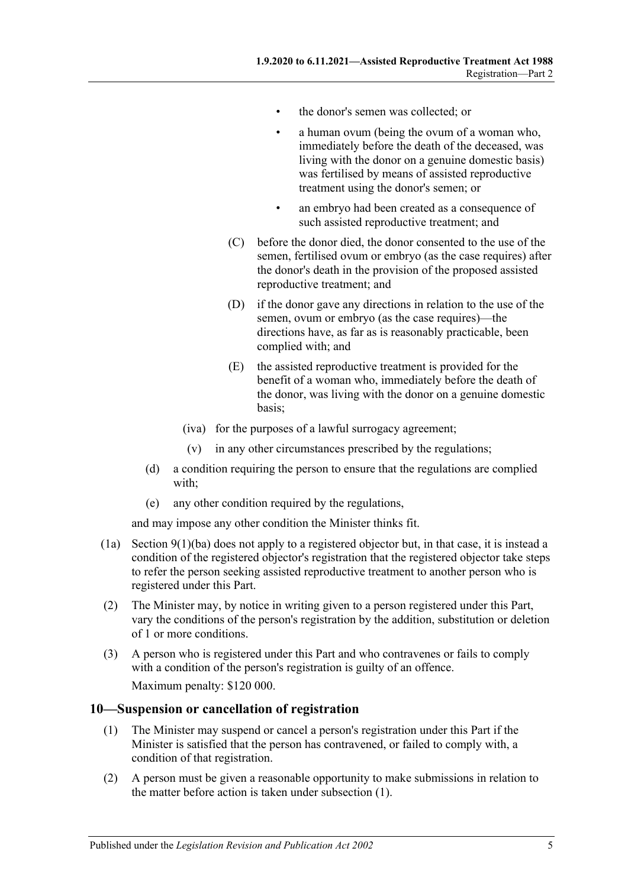- the donor's semen was collected; or
- a human ovum (being the ovum of a woman who, immediately before the death of the deceased, was living with the donor on a genuine domestic basis) was fertilised by means of assisted reproductive treatment using the donor's semen; or
- an embryo had been created as a consequence of such assisted reproductive treatment; and
- (C) before the donor died, the donor consented to the use of the semen, fertilised ovum or embryo (as the case requires) after the donor's death in the provision of the proposed assisted reproductive treatment; and
- (D) if the donor gave any directions in relation to the use of the semen, ovum or embryo (as the case requires)—the directions have, as far as is reasonably practicable, been complied with; and
- (E) the assisted reproductive treatment is provided for the benefit of a woman who, immediately before the death of the donor, was living with the donor on a genuine domestic basis;
- (iva) for the purposes of a lawful surrogacy agreement;
- (v) in any other circumstances prescribed by the regulations;
- (d) a condition requiring the person to ensure that the regulations are complied with;
- (e) any other condition required by the regulations,

and may impose any other condition the Minister thinks fit.

- <span id="page-4-1"></span>(1a) Section  $9(1)(ba)$  does not apply to a registered objector but, in that case, it is instead a condition of the registered objector's registration that the registered objector take steps to refer the person seeking assisted reproductive treatment to another person who is registered under this Part.
- (2) The Minister may, by notice in writing given to a person registered under this Part, vary the conditions of the person's registration by the addition, substitution or deletion of 1 or more conditions.
- (3) A person who is registered under this Part and who contravenes or fails to comply with a condition of the person's registration is guilty of an offence. Maximum penalty: \$120 000.

#### <span id="page-4-2"></span><span id="page-4-0"></span>**10—Suspension or cancellation of registration**

- (1) The Minister may suspend or cancel a person's registration under this Part if the Minister is satisfied that the person has contravened, or failed to comply with, a condition of that registration.
- (2) A person must be given a reasonable opportunity to make submissions in relation to the matter before action is taken under [subsection](#page-4-2) (1).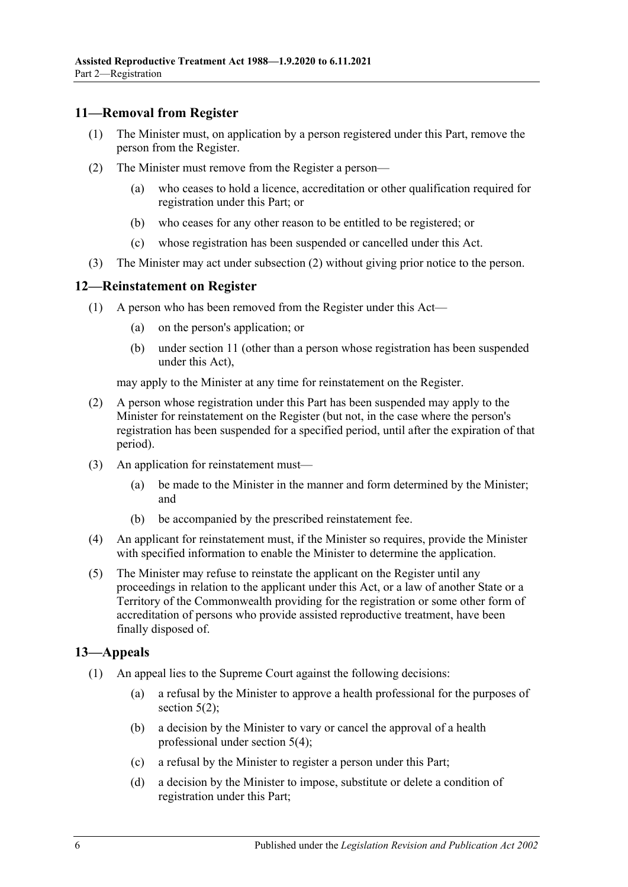#### <span id="page-5-0"></span>**11—Removal from Register**

- (1) The Minister must, on application by a person registered under this Part, remove the person from the Register.
- <span id="page-5-3"></span>(2) The Minister must remove from the Register a person—
	- (a) who ceases to hold a licence, accreditation or other qualification required for registration under this Part; or
	- (b) who ceases for any other reason to be entitled to be registered; or
	- (c) whose registration has been suspended or cancelled under this Act.
- (3) The Minister may act under [subsection](#page-5-3) (2) without giving prior notice to the person.

#### <span id="page-5-1"></span>**12—Reinstatement on Register**

- (1) A person who has been removed from the Register under this Act—
	- (a) on the person's application; or
	- (b) under [section](#page-5-0) 11 (other than a person whose registration has been suspended under this Act),

may apply to the Minister at any time for reinstatement on the Register.

- (2) A person whose registration under this Part has been suspended may apply to the Minister for reinstatement on the Register (but not, in the case where the person's registration has been suspended for a specified period, until after the expiration of that period).
- (3) An application for reinstatement must—
	- (a) be made to the Minister in the manner and form determined by the Minister; and
	- (b) be accompanied by the prescribed reinstatement fee.
- (4) An applicant for reinstatement must, if the Minister so requires, provide the Minister with specified information to enable the Minister to determine the application.
- (5) The Minister may refuse to reinstate the applicant on the Register until any proceedings in relation to the applicant under this Act, or a law of another State or a Territory of the Commonwealth providing for the registration or some other form of accreditation of persons who provide assisted reproductive treatment, have been finally disposed of.

#### <span id="page-5-2"></span>**13—Appeals**

- (1) An appeal lies to the Supreme Court against the following decisions:
	- (a) a refusal by the Minister to approve a health professional for the purposes of [section](#page-2-6)  $5(2)$ ;
	- (b) a decision by the Minister to vary or cancel the approval of a health professional under [section](#page-2-7) 5(4);
	- (c) a refusal by the Minister to register a person under this Part;
	- (d) a decision by the Minister to impose, substitute or delete a condition of registration under this Part;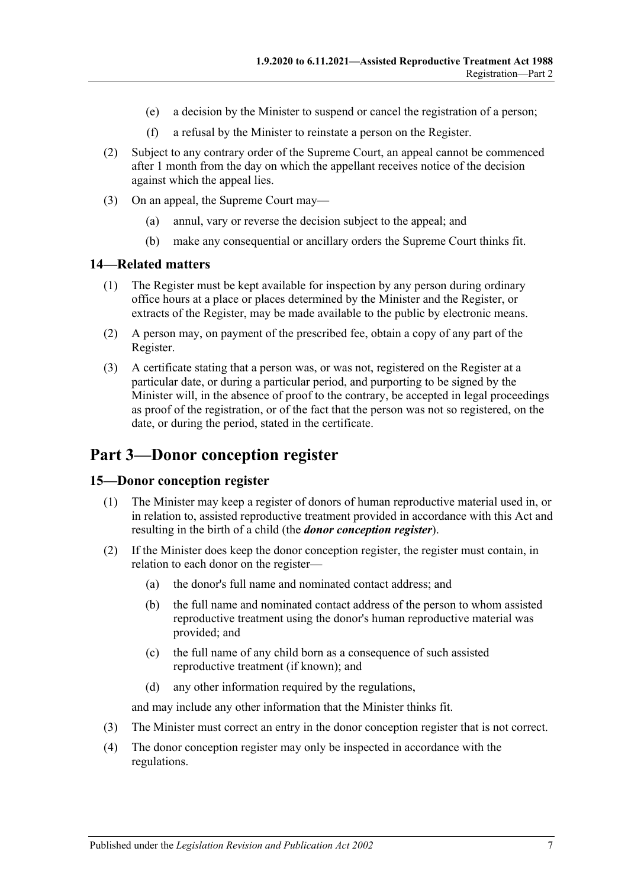- (e) a decision by the Minister to suspend or cancel the registration of a person;
- (f) a refusal by the Minister to reinstate a person on the Register.
- (2) Subject to any contrary order of the Supreme Court, an appeal cannot be commenced after 1 month from the day on which the appellant receives notice of the decision against which the appeal lies.
- (3) On an appeal, the Supreme Court may—
	- (a) annul, vary or reverse the decision subject to the appeal; and
	- (b) make any consequential or ancillary orders the Supreme Court thinks fit.

#### <span id="page-6-0"></span>**14—Related matters**

- (1) The Register must be kept available for inspection by any person during ordinary office hours at a place or places determined by the Minister and the Register, or extracts of the Register, may be made available to the public by electronic means.
- (2) A person may, on payment of the prescribed fee, obtain a copy of any part of the Register.
- (3) A certificate stating that a person was, or was not, registered on the Register at a particular date, or during a particular period, and purporting to be signed by the Minister will, in the absence of proof to the contrary, be accepted in legal proceedings as proof of the registration, or of the fact that the person was not so registered, on the date, or during the period, stated in the certificate.

## <span id="page-6-1"></span>**Part 3—Donor conception register**

#### <span id="page-6-2"></span>**15—Donor conception register**

- (1) The Minister may keep a register of donors of human reproductive material used in, or in relation to, assisted reproductive treatment provided in accordance with this Act and resulting in the birth of a child (the *donor conception register*).
- (2) If the Minister does keep the donor conception register, the register must contain, in relation to each donor on the register—
	- (a) the donor's full name and nominated contact address; and
	- (b) the full name and nominated contact address of the person to whom assisted reproductive treatment using the donor's human reproductive material was provided; and
	- (c) the full name of any child born as a consequence of such assisted reproductive treatment (if known); and
	- (d) any other information required by the regulations,

and may include any other information that the Minister thinks fit.

- (3) The Minister must correct an entry in the donor conception register that is not correct.
- (4) The donor conception register may only be inspected in accordance with the regulations.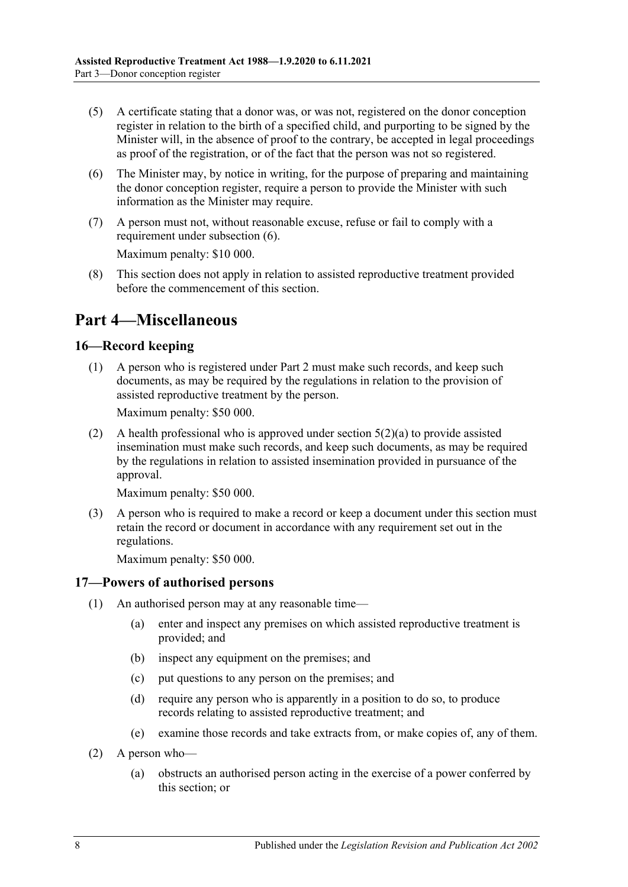- (5) A certificate stating that a donor was, or was not, registered on the donor conception register in relation to the birth of a specified child, and purporting to be signed by the Minister will, in the absence of proof to the contrary, be accepted in legal proceedings as proof of the registration, or of the fact that the person was not so registered.
- <span id="page-7-3"></span>(6) The Minister may, by notice in writing, for the purpose of preparing and maintaining the donor conception register, require a person to provide the Minister with such information as the Minister may require.
- (7) A person must not, without reasonable excuse, refuse or fail to comply with a requirement under [subsection](#page-7-3) (6).

Maximum penalty: \$10 000.

(8) This section does not apply in relation to assisted reproductive treatment provided before the commencement of this section.

## <span id="page-7-0"></span>**Part 4—Miscellaneous**

#### <span id="page-7-1"></span>**16—Record keeping**

(1) A person who is registered under [Part 2](#page-2-0) must make such records, and keep such documents, as may be required by the regulations in relation to the provision of assisted reproductive treatment by the person.

Maximum penalty: \$50 000.

(2) A health professional who is approved under [section](#page-2-5) 5(2)(a) to provide assisted insemination must make such records, and keep such documents, as may be required by the regulations in relation to assisted insemination provided in pursuance of the approval.

Maximum penalty: \$50 000.

(3) A person who is required to make a record or keep a document under this section must retain the record or document in accordance with any requirement set out in the regulations.

Maximum penalty: \$50 000.

#### <span id="page-7-2"></span>**17—Powers of authorised persons**

- (1) An authorised person may at any reasonable time—
	- (a) enter and inspect any premises on which assisted reproductive treatment is provided; and
	- (b) inspect any equipment on the premises; and
	- (c) put questions to any person on the premises; and
	- (d) require any person who is apparently in a position to do so, to produce records relating to assisted reproductive treatment; and
	- (e) examine those records and take extracts from, or make copies of, any of them.
- (2) A person who—
	- (a) obstructs an authorised person acting in the exercise of a power conferred by this section; or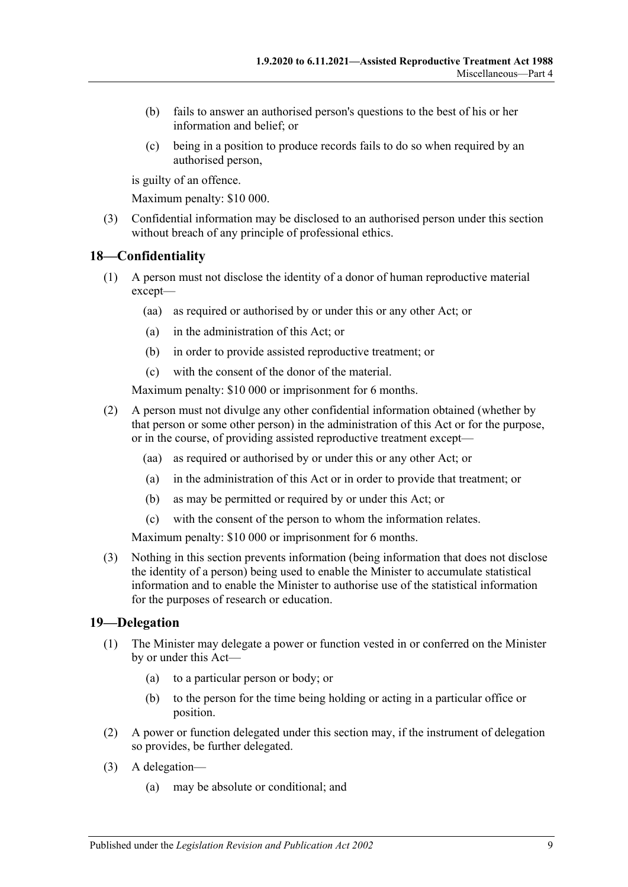- (b) fails to answer an authorised person's questions to the best of his or her information and belief; or
- (c) being in a position to produce records fails to do so when required by an authorised person,

is guilty of an offence.

Maximum penalty: \$10 000.

(3) Confidential information may be disclosed to an authorised person under this section without breach of any principle of professional ethics.

#### <span id="page-8-0"></span>**18—Confidentiality**

- (1) A person must not disclose the identity of a donor of human reproductive material except—
	- (aa) as required or authorised by or under this or any other Act; or
	- (a) in the administration of this Act; or
	- (b) in order to provide assisted reproductive treatment; or
	- (c) with the consent of the donor of the material.

Maximum penalty: \$10 000 or imprisonment for 6 months.

- (2) A person must not divulge any other confidential information obtained (whether by that person or some other person) in the administration of this Act or for the purpose, or in the course, of providing assisted reproductive treatment except—
	- (aa) as required or authorised by or under this or any other Act; or
	- (a) in the administration of this Act or in order to provide that treatment; or
	- (b) as may be permitted or required by or under this Act; or
	- (c) with the consent of the person to whom the information relates.

Maximum penalty: \$10 000 or imprisonment for 6 months.

(3) Nothing in this section prevents information (being information that does not disclose the identity of a person) being used to enable the Minister to accumulate statistical information and to enable the Minister to authorise use of the statistical information for the purposes of research or education.

#### <span id="page-8-1"></span>**19—Delegation**

- (1) The Minister may delegate a power or function vested in or conferred on the Minister by or under this Act—
	- (a) to a particular person or body; or
	- (b) to the person for the time being holding or acting in a particular office or position.
- (2) A power or function delegated under this section may, if the instrument of delegation so provides, be further delegated.
- (3) A delegation—
	- (a) may be absolute or conditional; and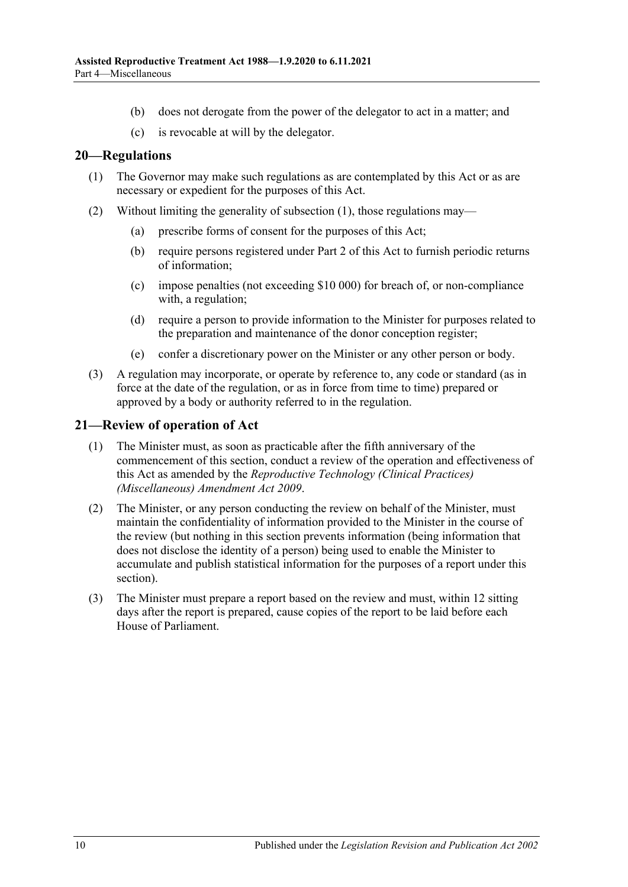- (b) does not derogate from the power of the delegator to act in a matter; and
- (c) is revocable at will by the delegator.

#### <span id="page-9-2"></span><span id="page-9-0"></span>**20—Regulations**

- (1) The Governor may make such regulations as are contemplated by this Act or as are necessary or expedient for the purposes of this Act.
- (2) Without limiting the generality of [subsection](#page-9-2) (1), those regulations may—
	- (a) prescribe forms of consent for the purposes of this Act;
	- (b) require persons registered under [Part 2](#page-2-0) of this Act to furnish periodic returns of information;
	- (c) impose penalties (not exceeding \$10 000) for breach of, or non-compliance with, a regulation;
	- (d) require a person to provide information to the Minister for purposes related to the preparation and maintenance of the donor conception register;
	- (e) confer a discretionary power on the Minister or any other person or body.
- (3) A regulation may incorporate, or operate by reference to, any code or standard (as in force at the date of the regulation, or as in force from time to time) prepared or approved by a body or authority referred to in the regulation.

#### <span id="page-9-1"></span>**21—Review of operation of Act**

- (1) The Minister must, as soon as practicable after the fifth anniversary of the commencement of this section, conduct a review of the operation and effectiveness of this Act as amended by the *[Reproductive Technology \(Clinical Practices\)](http://www.legislation.sa.gov.au/index.aspx?action=legref&type=act&legtitle=Reproductive%20Technology%20(Clinical%20Practices)%20(Miscellaneous)%20Amendment%20Act%202009)  [\(Miscellaneous\) Amendment Act](http://www.legislation.sa.gov.au/index.aspx?action=legref&type=act&legtitle=Reproductive%20Technology%20(Clinical%20Practices)%20(Miscellaneous)%20Amendment%20Act%202009) 2009*.
- (2) The Minister, or any person conducting the review on behalf of the Minister, must maintain the confidentiality of information provided to the Minister in the course of the review (but nothing in this section prevents information (being information that does not disclose the identity of a person) being used to enable the Minister to accumulate and publish statistical information for the purposes of a report under this section).
- (3) The Minister must prepare a report based on the review and must, within 12 sitting days after the report is prepared, cause copies of the report to be laid before each House of Parliament.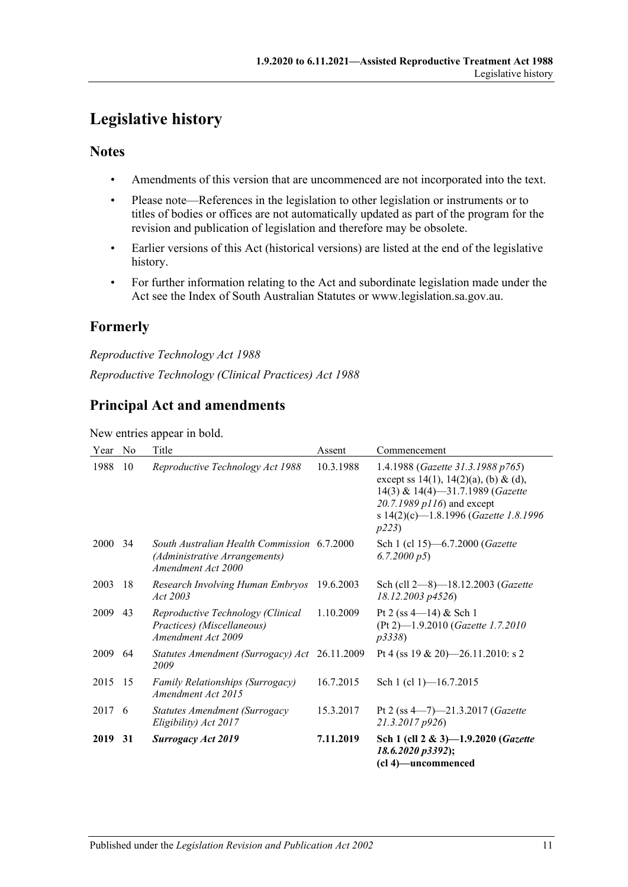## <span id="page-10-0"></span>**Legislative history**

#### **Notes**

- Amendments of this version that are uncommenced are not incorporated into the text.
- Please note—References in the legislation to other legislation or instruments or to titles of bodies or offices are not automatically updated as part of the program for the revision and publication of legislation and therefore may be obsolete.
- Earlier versions of this Act (historical versions) are listed at the end of the legislative history.
- For further information relating to the Act and subordinate legislation made under the Act see the Index of South Australian Statutes or www.legislation.sa.gov.au.

### **Formerly**

*Reproductive Technology Act 1988 Reproductive Technology (Clinical Practices) Act 1988*

### **Principal Act and amendments**

New entries appear in bold.

| Year | N <sub>o</sub> | Title                                                                                              | Assent    | Commencement                                                                                                                                                                                   |
|------|----------------|----------------------------------------------------------------------------------------------------|-----------|------------------------------------------------------------------------------------------------------------------------------------------------------------------------------------------------|
| 1988 | 10             | Reproductive Technology Act 1988                                                                   | 10.3.1988 | 1.4.1988 (Gazette 31.3.1988 p765)<br>except ss 14(1), 14(2)(a), (b) & (d),<br>14(3) & 14(4)-31.7.1989 (Gazette<br>20.7.1989 p116) and except<br>s 14(2)(c)-1.8.1996 (Gazette 1.8.1996<br>p223) |
| 2000 | 34             | South Australian Health Commission 6.7.2000<br>(Administrative Arrangements)<br>Amendment Act 2000 |           | Sch 1 (cl 15)-6.7.2000 (Gazette<br>6.7.2000 p5                                                                                                                                                 |
| 2003 | 18             | Research Involving Human Embryos<br>Act 2003                                                       | 19.6.2003 | Sch (cll 2-8)-18.12.2003 (Gazette<br>18.12.2003 p4526)                                                                                                                                         |
| 2009 | 43             | Reproductive Technology (Clinical<br>Practices) (Miscellaneous)<br>Amendment Act 2009              | 1.10.2009 | Pt 2 (ss $4-14$ ) & Sch 1<br>(Pt 2)-1.9.2010 (Gazette 1.7.2010)<br><i>p</i> 3338)                                                                                                              |
| 2009 | -64            | Statutes Amendment (Surrogacy) Act 26.11.2009<br>2009                                              |           | Pt 4 (ss 19 & 20)-26.11.2010: s 2                                                                                                                                                              |
| 2015 | 15             | Family Relationships (Surrogacy)<br>Amendment Act 2015                                             | 16.7.2015 | Sch 1 (cl 1)–16.7.2015                                                                                                                                                                         |
| 2017 | -6             | Statutes Amendment (Surrogacy<br>Eligibility) Act 2017                                             | 15.3.2017 | Pt 2 (ss $4 - 7$ )-21.3.2017 ( <i>Gazette</i><br>21.3.2017 p926)                                                                                                                               |
| 2019 | 31             | <b>Surrogacy Act 2019</b>                                                                          | 7.11.2019 | Sch 1 (cll 2 & 3)-1.9.2020 (Gazette<br>18.6.2020 p3392);<br>(cl 4)—uncommenced                                                                                                                 |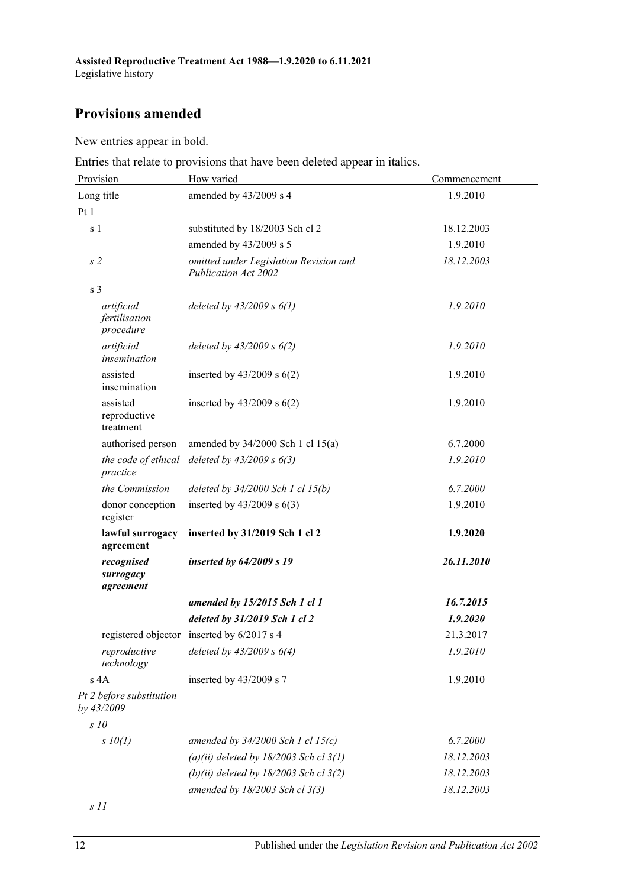## **Provisions amended**

New entries appear in bold.

Entries that relate to provisions that have been deleted appear in italics.

| Provision                                | How varied                                                     | Commencement |  |
|------------------------------------------|----------------------------------------------------------------|--------------|--|
| Long title                               | amended by 43/2009 s 4                                         | 1.9.2010     |  |
| Pt1                                      |                                                                |              |  |
| s <sub>1</sub>                           | substituted by 18/2003 Sch cl 2                                | 18.12.2003   |  |
|                                          | amended by 43/2009 s 5                                         | 1.9.2010     |  |
| s <sub>2</sub>                           | omitted under Legislation Revision and<br>Publication Act 2002 | 18.12.2003   |  |
| s <sub>3</sub>                           |                                                                |              |  |
| artificial<br>fertilisation<br>procedure | deleted by $43/2009 s 6(1)$                                    | 1.9.2010     |  |
| artificial<br>insemination               | deleted by $43/2009$ s $6(2)$                                  | 1.9.2010     |  |
| assisted<br>insemination                 | inserted by $43/2009$ s $6(2)$                                 | 1.9.2010     |  |
| assisted<br>reproductive<br>treatment    | inserted by $43/2009$ s $6(2)$                                 | 1.9.2010     |  |
| authorised person                        | amended by $34/2000$ Sch 1 cl $15(a)$                          | 6.7.2000     |  |
| the code of ethical<br>practice          | deleted by $43/2009 s 6(3)$                                    | 1.9.2010     |  |
| the Commission                           | deleted by $34/2000$ Sch 1 cl 15(b)                            | 6.7.2000     |  |
| donor conception<br>register             | inserted by $43/2009$ s $6(3)$                                 | 1.9.2010     |  |
| lawful surrogacy<br>agreement            | inserted by 31/2019 Sch 1 cl 2                                 | 1.9.2020     |  |
| recognised<br>surrogacy<br>agreement     | inserted by $64/2009$ s 19                                     | 26.11.2010   |  |
|                                          | amended by 15/2015 Sch 1 cl 1                                  | 16.7.2015    |  |
|                                          | deleted by 31/2019 Sch 1 cl 2                                  | 1.9.2020     |  |
|                                          | registered objector inserted by 6/2017 s 4                     | 21.3.2017    |  |
| reproductive<br>technology               | deleted by $43/2009 s 6(4)$                                    | 1.9.2010     |  |
| s 4A                                     | inserted by 43/2009 s 7                                        | 1.9.2010     |  |
| Pt 2 before substitution<br>by 43/2009   |                                                                |              |  |
| $s$ 10                                   |                                                                |              |  |
| $s$ 10(1)                                | amended by $34/2000$ Sch 1 cl 15(c)                            | 6.7.2000     |  |
|                                          | (a)(ii) deleted by $18/2003$ Sch cl $3(1)$                     | 18.12.2003   |  |
|                                          | (b)(ii) deleted by $18/2003$ Sch cl $3(2)$                     | 18.12.2003   |  |
|                                          | amended by 18/2003 Sch cl 3(3)                                 | 18.12.2003   |  |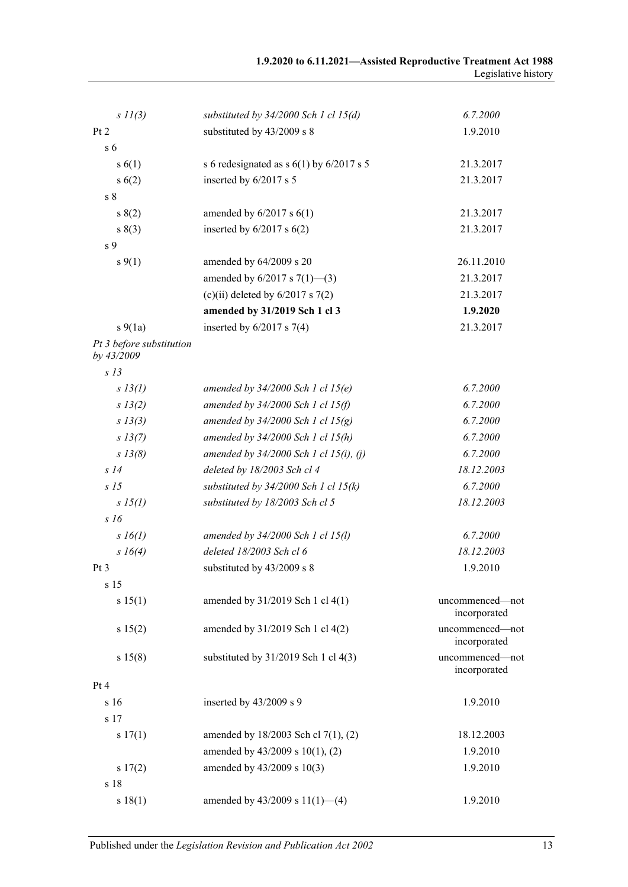| $s$ $11(3)$                            | substituted by $34/2000$ Sch 1 cl 15(d)      | 6.7.2000                        |
|----------------------------------------|----------------------------------------------|---------------------------------|
| Pt 2                                   | substituted by 43/2009 s 8                   | 1.9.2010                        |
| s <sub>6</sub>                         |                                              |                                 |
| s(6(1))                                | s 6 redesignated as s $6(1)$ by $6/2017$ s 5 | 21.3.2017                       |
| s(6(2))                                | inserted by 6/2017 s 5                       | 21.3.2017                       |
| s <sub>8</sub>                         |                                              |                                 |
| s(2)                                   | amended by $6/2017$ s $6(1)$                 | 21.3.2017                       |
| s(3)                                   | inserted by $6/2017$ s $6(2)$                | 21.3.2017                       |
| s 9                                    |                                              |                                 |
| $s\,9(1)$                              | amended by 64/2009 s 20                      | 26.11.2010                      |
|                                        | amended by $6/2017$ s $7(1)$ —(3)            | 21.3.2017                       |
|                                        | (c)(ii) deleted by $6/2017$ s $7(2)$         | 21.3.2017                       |
|                                        | amended by 31/2019 Sch 1 cl 3                | 1.9.2020                        |
| $s\ 9(1a)$                             | inserted by $6/2017$ s $7(4)$                | 21.3.2017                       |
| Pt 3 before substitution<br>by 43/2009 |                                              |                                 |
| s <sub>13</sub>                        |                                              |                                 |
| s 13(l)                                | amended by $34/2000$ Sch 1 cl 15(e)          | 6.7.2000                        |
| s 13(2)                                | amended by $34/2000$ Sch 1 cl 15(f)          | 6.7.2000                        |
| $s\,13(3)$                             | amended by $34/2000$ Sch 1 cl 15(g)          | 6.7.2000                        |
| $s\,13(7)$                             | amended by $34/2000$ Sch 1 cl $15(h)$        | 6.7.2000                        |
| $s$ 13(8)                              | amended by $34/2000$ Sch 1 cl 15(i), (j)     | 6.7.2000                        |
| s14                                    | deleted by 18/2003 Sch cl 4                  | 18.12.2003                      |
| S <sub>15</sub>                        | substituted by $34/2000$ Sch 1 cl 15(k)      | 6.7.2000                        |
| $s\,15(l)$                             | substituted by 18/2003 Sch cl 5              | 18.12.2003                      |
| s16                                    |                                              |                                 |
| $s\,16(1)$                             | amended by 34/2000 Sch 1 cl 15(l)            | 6.7.2000                        |
| $s \; 16(4)$                           | deleted 18/2003 Sch cl 6                     | 18.12.2003                      |
| Pt <sub>3</sub>                        | substituted by 43/2009 s 8                   | 1.9.2010                        |
| s 15                                   |                                              |                                 |
| s 15(1)                                | amended by 31/2019 Sch 1 cl 4(1)             | uncommenced-not<br>incorporated |
| s 15(2)                                | amended by 31/2019 Sch 1 cl 4(2)             | uncommenced-not<br>incorporated |
| s 15(8)                                | substituted by $31/2019$ Sch 1 cl $4(3)$     | uncommenced-not<br>incorporated |
| Pt 4                                   |                                              |                                 |
| s 16                                   | inserted by 43/2009 s 9                      | 1.9.2010                        |
| s 17                                   |                                              |                                 |
| s 17(1)                                | amended by $18/2003$ Sch cl 7(1), (2)        | 18.12.2003                      |
|                                        | amended by 43/2009 s 10(1), (2)              | 1.9.2010                        |
| s 17(2)                                | amended by 43/2009 s 10(3)                   | 1.9.2010                        |
| s 18                                   |                                              |                                 |
| s 18(1)                                | amended by $43/2009$ s $11(1)$ —(4)          | 1.9.2010                        |